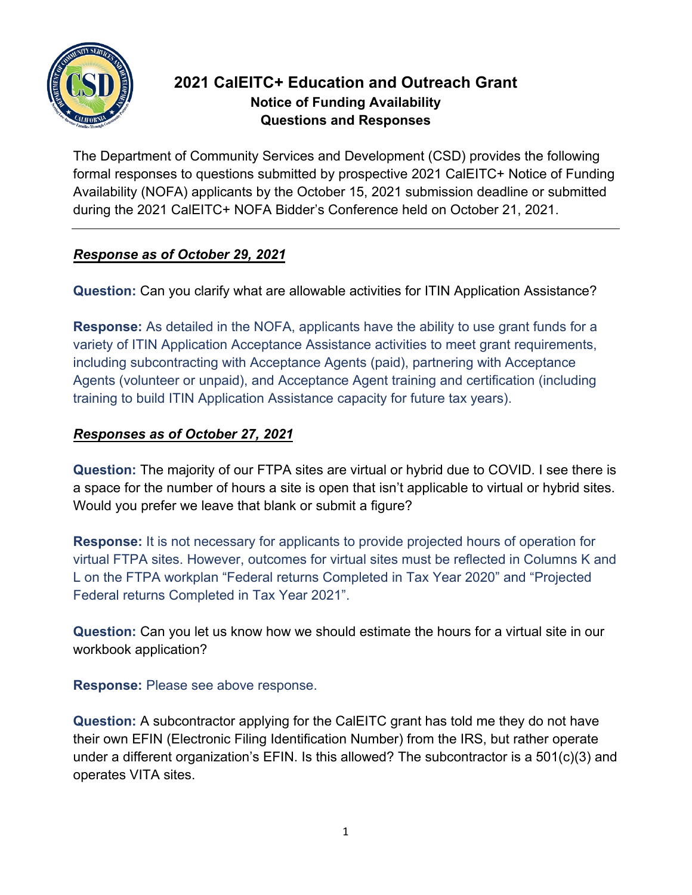

# **2021 CalEITC+ Education and Outreach Grant Notice of Funding Availability Questions and Responses**

The Department of Community Services and Development (CSD) provides the following formal responses to questions submitted by prospective 2021 CalEITC+ Notice of Funding Availability (NOFA) applicants by the October 15, 2021 submission deadline or submitted during the 2021 CalEITC+ NOFA Bidder's Conference held on October 21, 2021.

## *Response as of October 29, 2021*

**Question:** Can you clarify what are allowable activities for ITIN Application Assistance?

**Response:** As detailed in the NOFA, applicants have the ability to use grant funds for a variety of ITIN Application Acceptance Assistance activities to meet grant requirements, including subcontracting with Acceptance Agents (paid), partnering with Acceptance Agents (volunteer or unpaid), and Acceptance Agent training and certification (including training to build ITIN Application Assistance capacity for future tax years).

## *Responses as of October 27, 2021*

**Question:** The majority of our FTPA sites are virtual or hybrid due to COVID. I see there is a space for the number of hours a site is open that isn't applicable to virtual or hybrid sites. Would you prefer we leave that blank or submit a figure?

**Response:** It is not necessary for applicants to provide projected hours of operation for virtual FTPA sites. However, outcomes for virtual sites must be reflected in Columns K and L on the FTPA workplan "Federal returns Completed in Tax Year 2020" and "Projected Federal returns Completed in Tax Year 2021".

**Question:** Can you let us know how we should estimate the hours for a virtual site in our workbook application?

## **Response:** Please see above response.

**Question:** A subcontractor applying for the CalEITC grant has told me they do not have their own EFIN (Electronic Filing Identification Number) from the IRS, but rather operate under a different organization's EFIN. Is this allowed? The subcontractor is a 501(c)(3) and operates VITA sites.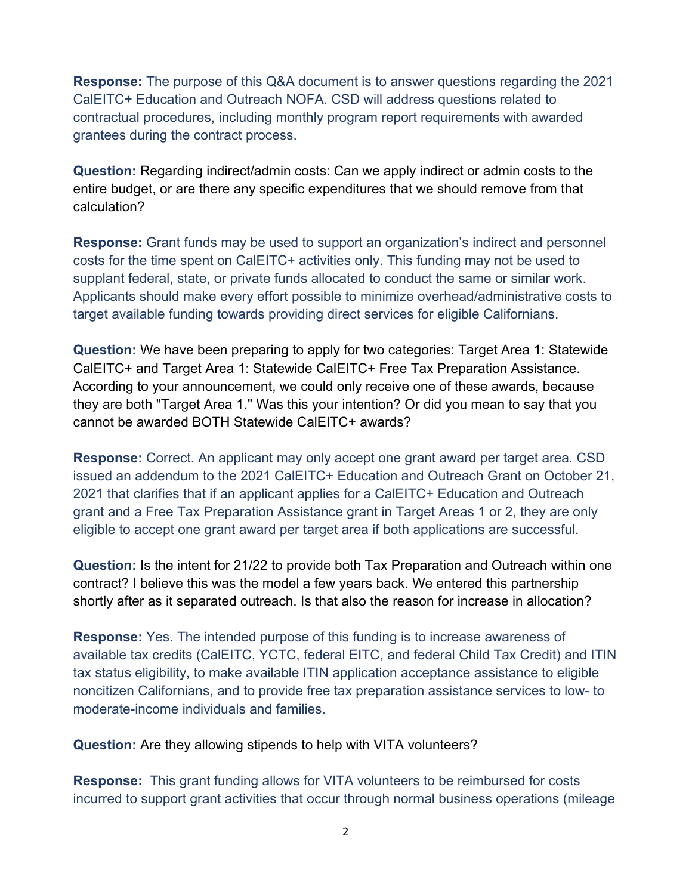**Response:** The purpose of this Q&A document is to answer questions regarding the 2021 CalEITC+ Education and Outreach NOFA. CSD will address questions related to contractual procedures, including monthly program report requirements with awarded grantees during the contract process.

**Question:** Regarding indirect/admin costs: Can we apply indirect or admin costs to the entire budget, or are there any specific expenditures that we should remove from that calculation?

**Response:** Grant funds may be used to support an organization's indirect and personnel costs for the time spent on CalEITC+ activities only. This funding may not be used to supplant federal, state, or private funds allocated to conduct the same or similar work. Applicants should make every effort possible to minimize overhead/administrative costs to target available funding towards providing direct services for eligible Californians.

**Question:** We have been preparing to apply for two categories: Target Area 1: Statewide CalEITC+ and Target Area 1: Statewide CalEITC+ Free Tax Preparation Assistance. According to your announcement, we could only receive one of these awards, because they are both "Target Area 1." Was this your intention? Or did you mean to say that you cannot be awarded BOTH Statewide CalEITC+ awards?

**Response:** Correct. An applicant may only accept one grant award per target area. CSD issued an addendum to the 2021 CalEITC+ Education and Outreach Grant on October 21, 2021 that clarifies that if an applicant applies for a CalEITC+ Education and Outreach grant and a Free Tax Preparation Assistance grant in Target Areas 1 or 2, they are only eligible to accept one grant award per target area if both applications are successful.

**Question:** Is the intent for 21/22 to provide both Tax Preparation and Outreach within one contract? I believe this was the model a few years back. We entered this partnership shortly after as it separated outreach. Is that also the reason for increase in allocation?

**Response:** Yes. The intended purpose of this funding is to increase awareness of available tax credits (CalEITC, YCTC, federal EITC, and federal Child Tax Credit) and ITIN tax status eligibility, to make available ITIN application acceptance assistance to eligible noncitizen Californians, and to provide free tax preparation assistance services to low- to moderate-income individuals and families.

**Question:** Are they allowing stipends to help with VITA volunteers?

**Response:** This grant funding allows for VITA volunteers to be reimbursed for costs incurred to support grant activities that occur through normal business operations (mileage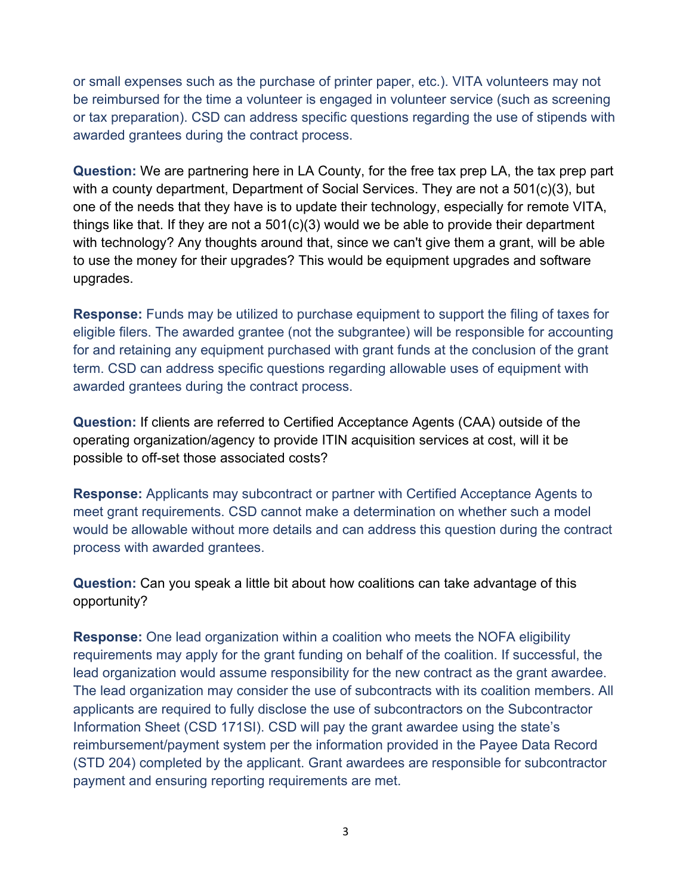or small expenses such as the purchase of printer paper, etc.). VITA volunteers may not be reimbursed for the time a volunteer is engaged in volunteer service (such as screening or tax preparation). CSD can address specific questions regarding the use of stipends with awarded grantees during the contract process.

**Question:** We are partnering here in LA County, for the free tax prep LA, the tax prep part with a county department, Department of Social Services. They are not a 501(c)(3), but one of the needs that they have is to update their technology, especially for remote VITA, things like that. If they are not a 501(c)(3) would we be able to provide their department with technology? Any thoughts around that, since we can't give them a grant, will be able to use the money for their upgrades? This would be equipment upgrades and software upgrades.

**Response:** Funds may be utilized to purchase equipment to support the filing of taxes for eligible filers. The awarded grantee (not the subgrantee) will be responsible for accounting for and retaining any equipment purchased with grant funds at the conclusion of the grant term. CSD can address specific questions regarding allowable uses of equipment with awarded grantees during the contract process.

**Question:** If clients are referred to Certified Acceptance Agents (CAA) outside of the operating organization/agency to provide ITIN acquisition services at cost, will it be possible to off-set those associated costs?

**Response:** Applicants may subcontract or partner with Certified Acceptance Agents to meet grant requirements. CSD cannot make a determination on whether such a model would be allowable without more details and can address this question during the contract process with awarded grantees.

**Question:** Can you speak a little bit about how coalitions can take advantage of this opportunity?

**Response:** One lead organization within a coalition who meets the NOFA eligibility requirements may apply for the grant funding on behalf of the coalition. If successful, the lead organization would assume responsibility for the new contract as the grant awardee. The lead organization may consider the use of subcontracts with its coalition members. All applicants are required to fully disclose the use of subcontractors on the Subcontractor Information Sheet (CSD 171SI). CSD will pay the grant awardee using the state's reimbursement/payment system per the information provided in the Payee Data Record (STD 204) completed by the applicant. Grant awardees are responsible for subcontractor payment and ensuring reporting requirements are met.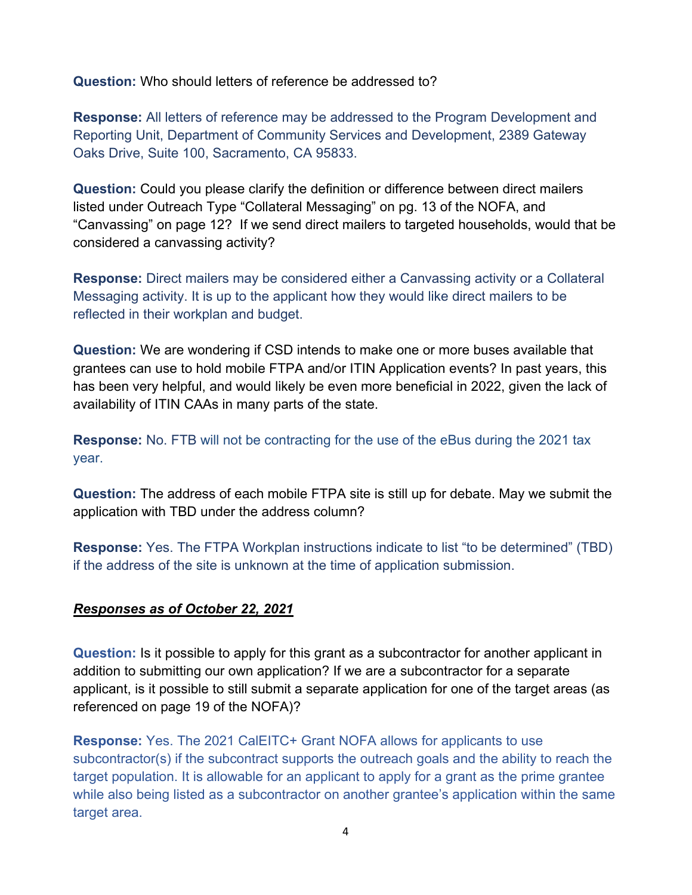**Question:** Who should letters of reference be addressed to?

**Response:** All letters of reference may be addressed to the Program Development and Reporting Unit, Department of Community Services and Development, 2389 Gateway Oaks Drive, Suite 100, Sacramento, CA 95833.

**Question:** Could you please clarify the definition or difference between direct mailers listed under Outreach Type "Collateral Messaging" on pg. 13 of the NOFA, and "Canvassing" on page 12? If we send direct mailers to targeted households, would that be considered a canvassing activity?

**Response:** Direct mailers may be considered either a Canvassing activity or a Collateral Messaging activity. It is up to the applicant how they would like direct mailers to be reflected in their workplan and budget.

**Question:** We are wondering if CSD intends to make one or more buses available that grantees can use to hold mobile FTPA and/or ITIN Application events? In past years, this has been very helpful, and would likely be even more beneficial in 2022, given the lack of availability of ITIN CAAs in many parts of the state.

**Response:** No. FTB will not be contracting for the use of the eBus during the 2021 tax year.

**Question:** The address of each mobile FTPA site is still up for debate. May we submit the application with TBD under the address column?

**Response:** Yes. The FTPA Workplan instructions indicate to list "to be determined" (TBD) if the address of the site is unknown at the time of application submission.

### *Responses as of October 22, 2021*

**Question:** Is it possible to apply for this grant as a subcontractor for another applicant in addition to submitting our own application? If we are a subcontractor for a separate applicant, is it possible to still submit a separate application for one of the target areas (as referenced on page 19 of the NOFA)?

**Response:** Yes. The 2021 CalEITC+ Grant NOFA allows for applicants to use subcontractor(s) if the subcontract supports the outreach goals and the ability to reach the target population. It is allowable for an applicant to apply for a grant as the prime grantee while also being listed as a subcontractor on another grantee's application within the same target area.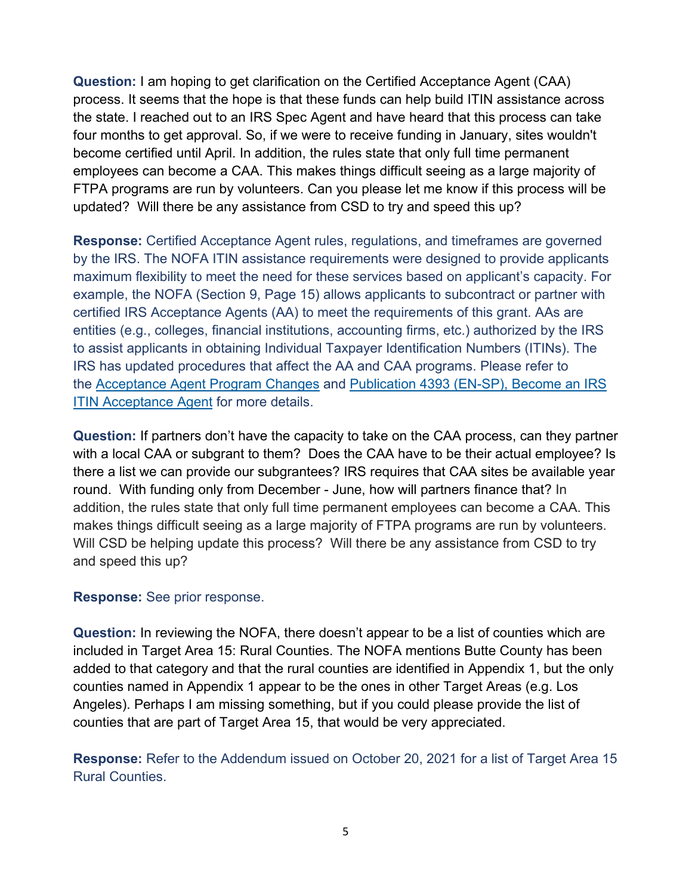**Question:** I am hoping to get clarification on the Certified Acceptance Agent (CAA) process. It seems that the hope is that these funds can help build ITIN assistance across the state. I reached out to an IRS Spec Agent and have heard that this process can take four months to get approval. So, if we were to receive funding in January, sites wouldn't become certified until April. In addition, the rules state that only full time permanent employees can become a CAA. This makes things difficult seeing as a large majority of FTPA programs are run by volunteers. Can you please let me know if this process will be updated? Will there be any assistance from CSD to try and speed this up?

**Response:** Certified Acceptance Agent rules, regulations, and timeframes are governed by the IRS. The NOFA ITIN assistance requirements were designed to provide applicants maximum flexibility to meet the need for these services based on applicant's capacity. For example, the NOFA (Section 9, Page 15) allows applicants to subcontract or partner with certified IRS Acceptance Agents (AA) to meet the requirements of this grant. AAs are entities (e.g., colleges, financial institutions, accounting firms, etc.) authorized by the IRS to assist applicants in obtaining Individual Taxpayer Identification Numbers (ITINs). The IRS has updated procedures that affect the AA and CAA programs. Please refer to the [Acceptance Agent Program Changes](https://www.irs.gov/individuals/new-itin-acceptance-agent-program-changes) and [Publication 4393 \(EN-SP\), Become an IRS](https://www.irs.gov/pub/irs-pdf/p4393esp.pdf)  **[ITIN Acceptance Agent](https://www.irs.gov/pub/irs-pdf/p4393esp.pdf) for more details.** 

**Question:** If partners don't have the capacity to take on the CAA process, can they partner with a local CAA or subgrant to them? Does the CAA have to be their actual employee? Is there a list we can provide our subgrantees? IRS requires that CAA sites be available year round. With funding only from December - June, how will partners finance that? In addition, the rules state that only full time permanent employees can become a CAA. This makes things difficult seeing as a large majority of FTPA programs are run by volunteers. Will CSD be helping update this process? Will there be any assistance from CSD to try and speed this up?

#### **Response:** See prior response.

**Question:** In reviewing the NOFA, there doesn't appear to be a list of counties which are included in Target Area 15: Rural Counties. The NOFA mentions Butte County has been added to that category and that the rural counties are identified in Appendix 1, but the only counties named in Appendix 1 appear to be the ones in other Target Areas (e.g. Los Angeles). Perhaps I am missing something, but if you could please provide the list of counties that are part of Target Area 15, that would be very appreciated.

**Response:** Refer to the Addendum issued on October 20, 2021 for a list of Target Area 15 Rural Counties.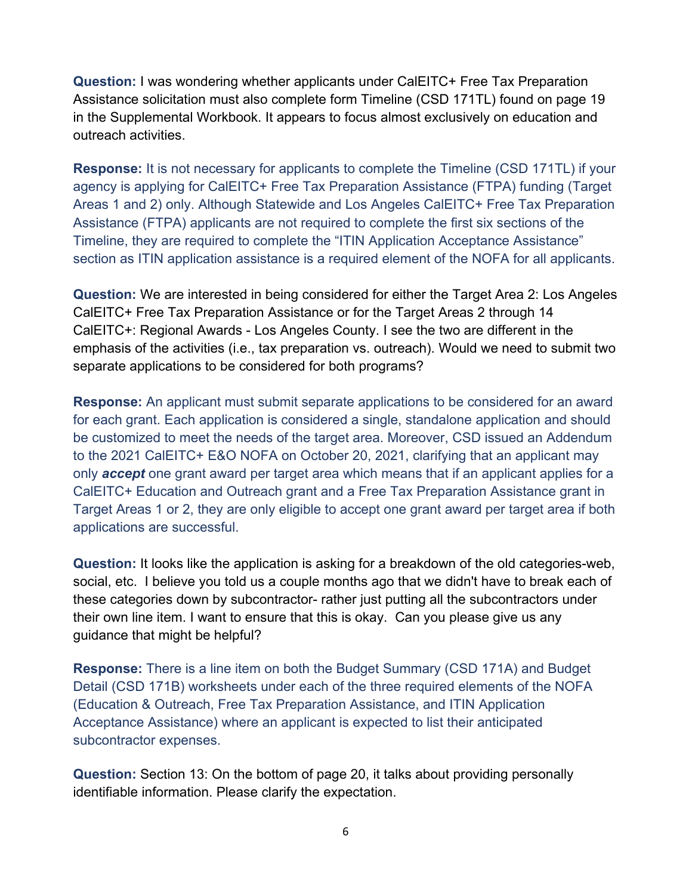**Question:** I was wondering whether applicants under CalEITC+ Free Tax Preparation Assistance solicitation must also complete form Timeline (CSD 171TL) found on page 19 in the Supplemental Workbook. It appears to focus almost exclusively on education and outreach activities.

**Response:** It is not necessary for applicants to complete the Timeline (CSD 171TL) if your agency is applying for CalEITC+ Free Tax Preparation Assistance (FTPA) funding (Target Areas 1 and 2) only. Although Statewide and Los Angeles CalEITC+ Free Tax Preparation Assistance (FTPA) applicants are not required to complete the first six sections of the Timeline, they are required to complete the "ITIN Application Acceptance Assistance" section as ITIN application assistance is a required element of the NOFA for all applicants.

**Question:** We are interested in being considered for either the Target Area 2: Los Angeles CalEITC+ Free Tax Preparation Assistance or for the Target Areas 2 through 14 CalEITC+: Regional Awards - Los Angeles County. I see the two are different in the emphasis of the activities (i.e., tax preparation vs. outreach). Would we need to submit two separate applications to be considered for both programs?

**Response:** An applicant must submit separate applications to be considered for an award for each grant. Each application is considered a single, standalone application and should be customized to meet the needs of the target area. Moreover, CSD issued an Addendum to the 2021 CalEITC+ E&O NOFA on October 20, 2021, clarifying that an applicant may only *accept* one grant award per target area which means that if an applicant applies for a CalEITC+ Education and Outreach grant and a Free Tax Preparation Assistance grant in Target Areas 1 or 2, they are only eligible to accept one grant award per target area if both applications are successful.

**Question:** It looks like the application is asking for a breakdown of the old categories-web, social, etc. I believe you told us a couple months ago that we didn't have to break each of these categories down by subcontractor- rather just putting all the subcontractors under their own line item. I want to ensure that this is okay. Can you please give us any guidance that might be helpful?

**Response:** There is a line item on both the Budget Summary (CSD 171A) and Budget Detail (CSD 171B) worksheets under each of the three required elements of the NOFA (Education & Outreach, Free Tax Preparation Assistance, and ITIN Application Acceptance Assistance) where an applicant is expected to list their anticipated subcontractor expenses.

**Question:** Section 13: On the bottom of page 20, it talks about providing personally identifiable information. Please clarify the expectation.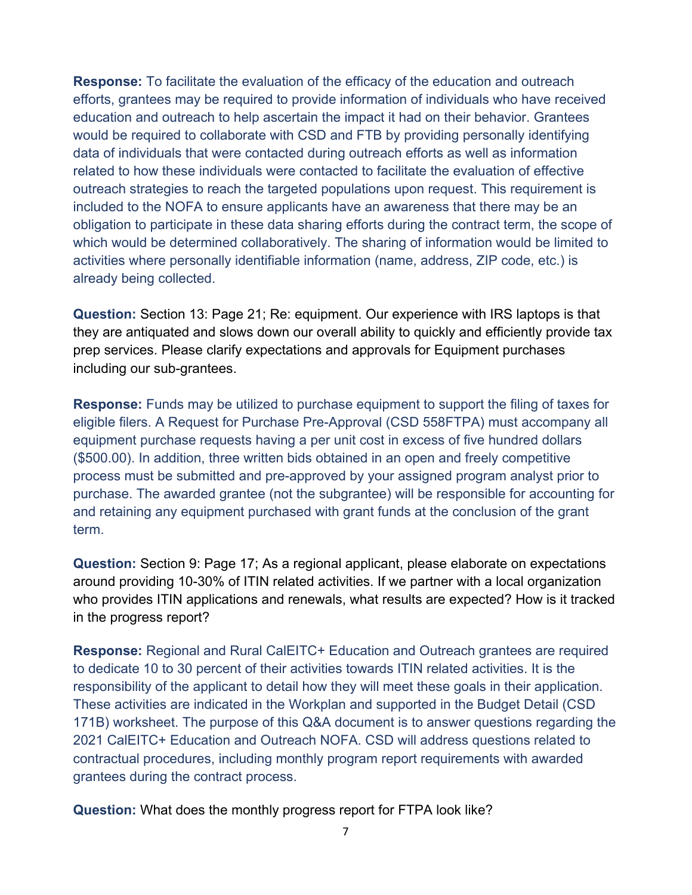**Response:** To facilitate the evaluation of the efficacy of the education and outreach efforts, grantees may be required to provide information of individuals who have received education and outreach to help ascertain the impact it had on their behavior. Grantees would be required to collaborate with CSD and FTB by providing personally identifying data of individuals that were contacted during outreach efforts as well as information related to how these individuals were contacted to facilitate the evaluation of effective outreach strategies to reach the targeted populations upon request. This requirement is included to the NOFA to ensure applicants have an awareness that there may be an obligation to participate in these data sharing efforts during the contract term, the scope of which would be determined collaboratively. The sharing of information would be limited to activities where personally identifiable information (name, address, ZIP code, etc.) is already being collected.

**Question:** Section 13: Page 21; Re: equipment. Our experience with IRS laptops is that they are antiquated and slows down our overall ability to quickly and efficiently provide tax prep services. Please clarify expectations and approvals for Equipment purchases including our sub-grantees.

**Response:** Funds may be utilized to purchase equipment to support the filing of taxes for eligible filers. A Request for Purchase Pre-Approval (CSD 558FTPA) must accompany all equipment purchase requests having a per unit cost in excess of five hundred dollars (\$500.00). In addition, three written bids obtained in an open and freely competitive process must be submitted and pre-approved by your assigned program analyst prior to purchase. The awarded grantee (not the subgrantee) will be responsible for accounting for and retaining any equipment purchased with grant funds at the conclusion of the grant term.

**Question:** Section 9: Page 17; As a regional applicant, please elaborate on expectations around providing 10-30% of ITIN related activities. If we partner with a local organization who provides ITIN applications and renewals, what results are expected? How is it tracked in the progress report?

**Response:** Regional and Rural CalEITC+ Education and Outreach grantees are required to dedicate 10 to 30 percent of their activities towards ITIN related activities. It is the responsibility of the applicant to detail how they will meet these goals in their application. These activities are indicated in the Workplan and supported in the Budget Detail (CSD 171B) worksheet. The purpose of this Q&A document is to answer questions regarding the 2021 CalEITC+ Education and Outreach NOFA. CSD will address questions related to contractual procedures, including monthly program report requirements with awarded grantees during the contract process.

**Question:** What does the monthly progress report for FTPA look like?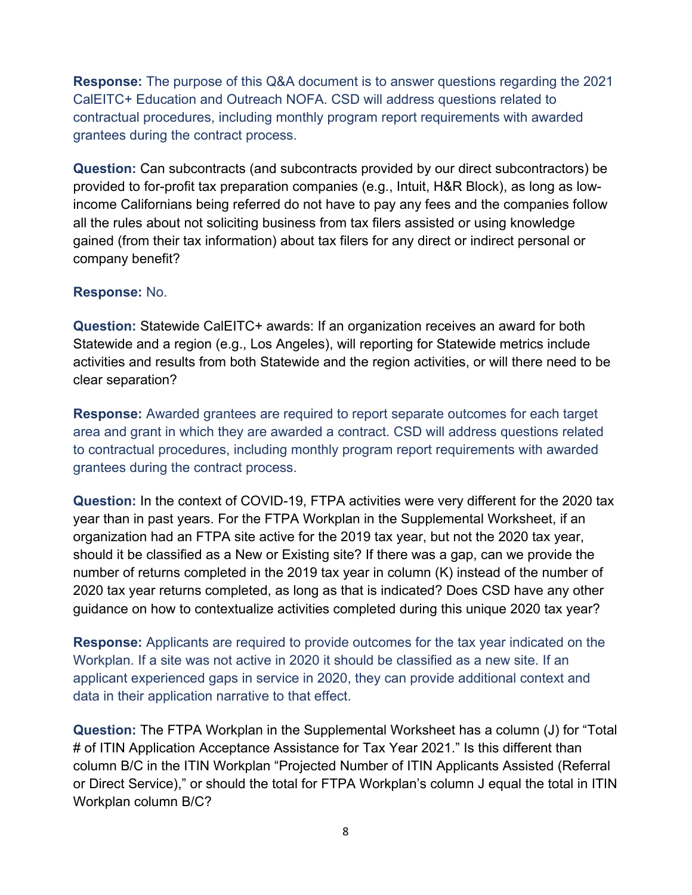**Response:** The purpose of this Q&A document is to answer questions regarding the 2021 CalEITC+ Education and Outreach NOFA. CSD will address questions related to contractual procedures, including monthly program report requirements with awarded grantees during the contract process.

**Question:** Can subcontracts (and subcontracts provided by our direct subcontractors) be provided to for-profit tax preparation companies (e.g., Intuit, H&R Block), as long as lowincome Californians being referred do not have to pay any fees and the companies follow all the rules about not soliciting business from tax filers assisted or using knowledge gained (from their tax information) about tax filers for any direct or indirect personal or company benefit?

### **Response:** No.

**Question:** Statewide CalEITC+ awards: If an organization receives an award for both Statewide and a region (e.g., Los Angeles), will reporting for Statewide metrics include activities and results from both Statewide and the region activities, or will there need to be clear separation?

**Response:** Awarded grantees are required to report separate outcomes for each target area and grant in which they are awarded a contract. CSD will address questions related to contractual procedures, including monthly program report requirements with awarded grantees during the contract process.

**Question:** In the context of COVID-19, FTPA activities were very different for the 2020 tax year than in past years. For the FTPA Workplan in the Supplemental Worksheet, if an organization had an FTPA site active for the 2019 tax year, but not the 2020 tax year, should it be classified as a New or Existing site? If there was a gap, can we provide the number of returns completed in the 2019 tax year in column (K) instead of the number of 2020 tax year returns completed, as long as that is indicated? Does CSD have any other guidance on how to contextualize activities completed during this unique 2020 tax year?

**Response:** Applicants are required to provide outcomes for the tax year indicated on the Workplan. If a site was not active in 2020 it should be classified as a new site. If an applicant experienced gaps in service in 2020, they can provide additional context and data in their application narrative to that effect.

**Question:** The FTPA Workplan in the Supplemental Worksheet has a column (J) for "Total # of ITIN Application Acceptance Assistance for Tax Year 2021." Is this different than column B/C in the ITIN Workplan "Projected Number of ITIN Applicants Assisted (Referral or Direct Service)," or should the total for FTPA Workplan's column J equal the total in ITIN Workplan column B/C?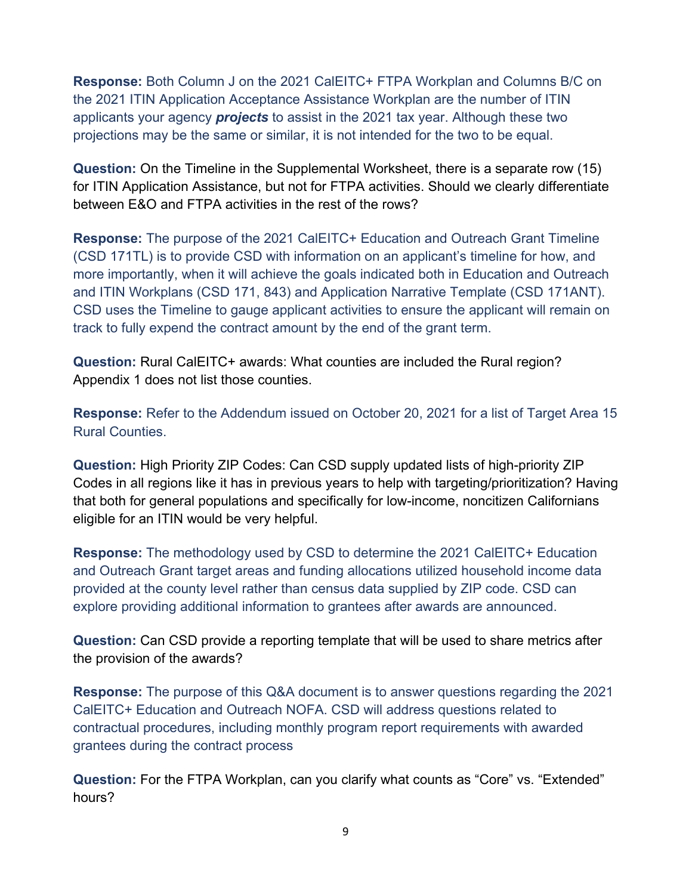**Response:** Both Column J on the 2021 CalEITC+ FTPA Workplan and Columns B/C on the 2021 ITIN Application Acceptance Assistance Workplan are the number of ITIN applicants your agency *projects* to assist in the 2021 tax year. Although these two projections may be the same or similar, it is not intended for the two to be equal.

**Question:** On the Timeline in the Supplemental Worksheet, there is a separate row (15) for ITIN Application Assistance, but not for FTPA activities. Should we clearly differentiate between E&O and FTPA activities in the rest of the rows?

**Response:** The purpose of the 2021 CalEITC+ Education and Outreach Grant Timeline (CSD 171TL) is to provide CSD with information on an applicant's timeline for how, and more importantly, when it will achieve the goals indicated both in Education and Outreach and ITIN Workplans (CSD 171, 843) and Application Narrative Template (CSD 171ANT). CSD uses the Timeline to gauge applicant activities to ensure the applicant will remain on track to fully expend the contract amount by the end of the grant term.

**Question:** Rural CalEITC+ awards: What counties are included the Rural region? Appendix 1 does not list those counties.

**Response:** Refer to the Addendum issued on October 20, 2021 for a list of Target Area 15 Rural Counties.

**Question:** High Priority ZIP Codes: Can CSD supply updated lists of high-priority ZIP Codes in all regions like it has in previous years to help with targeting/prioritization? Having that both for general populations and specifically for low-income, noncitizen Californians eligible for an ITIN would be very helpful.

**Response:** The methodology used by CSD to determine the 2021 CalEITC+ Education and Outreach Grant target areas and funding allocations utilized household income data provided at the county level rather than census data supplied by ZIP code. CSD can explore providing additional information to grantees after awards are announced.

**Question:** Can CSD provide a reporting template that will be used to share metrics after the provision of the awards?

**Response:** The purpose of this Q&A document is to answer questions regarding the 2021 CalEITC+ Education and Outreach NOFA. CSD will address questions related to contractual procedures, including monthly program report requirements with awarded grantees during the contract process

**Question:** For the FTPA Workplan, can you clarify what counts as "Core" vs. "Extended" hours?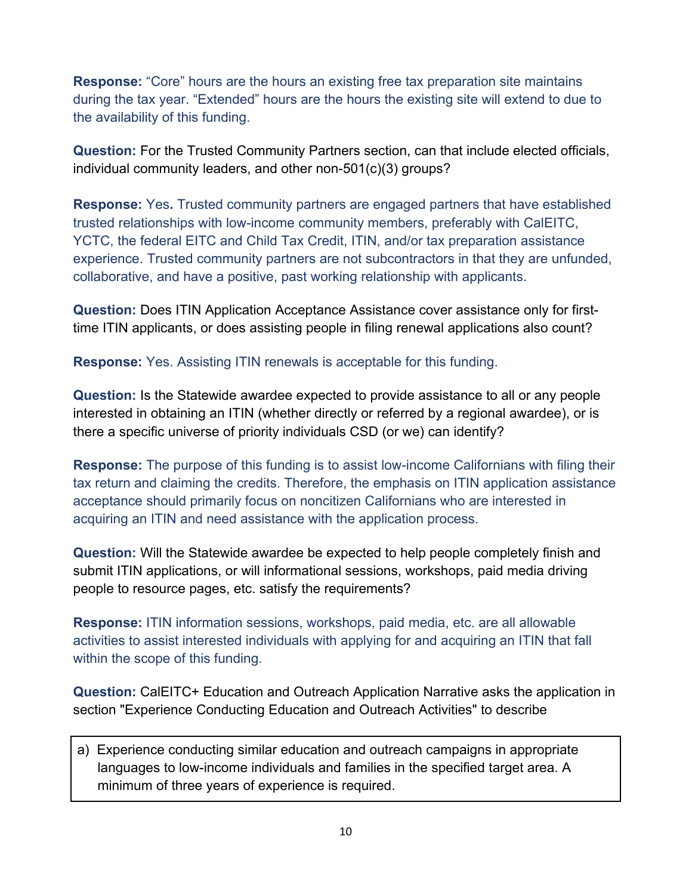**Response:** "Core" hours are the hours an existing free tax preparation site maintains during the tax year. "Extended" hours are the hours the existing site will extend to due to the availability of this funding.

**Question:** For the Trusted Community Partners section, can that include elected officials, individual community leaders, and other non-501(c)(3) groups?

**Response:** Yes**.** Trusted community partners are engaged partners that have established trusted relationships with low-income community members, preferably with CalEITC, YCTC, the federal EITC and Child Tax Credit, ITIN, and/or tax preparation assistance experience. Trusted community partners are not subcontractors in that they are unfunded, collaborative, and have a positive, past working relationship with applicants.

**Question:** Does ITIN Application Acceptance Assistance cover assistance only for firsttime ITIN applicants, or does assisting people in filing renewal applications also count?

**Response:** Yes. Assisting ITIN renewals is acceptable for this funding.

**Question:** Is the Statewide awardee expected to provide assistance to all or any people interested in obtaining an ITIN (whether directly or referred by a regional awardee), or is there a specific universe of priority individuals CSD (or we) can identify?

**Response:** The purpose of this funding is to assist low-income Californians with filing their tax return and claiming the credits. Therefore, the emphasis on ITIN application assistance acceptance should primarily focus on noncitizen Californians who are interested in acquiring an ITIN and need assistance with the application process.

**Question:** Will the Statewide awardee be expected to help people completely finish and submit ITIN applications, or will informational sessions, workshops, paid media driving people to resource pages, etc. satisfy the requirements?

**Response:** ITIN information sessions, workshops, paid media, etc. are all allowable activities to assist interested individuals with applying for and acquiring an ITIN that fall within the scope of this funding.

**Question:** CalEITC+ Education and Outreach Application Narrative asks the application in section "Experience Conducting Education and Outreach Activities" to describe

a) Experience conducting similar education and outreach campaigns in appropriate languages to low-income individuals and families in the specified target area. A minimum of three years of experience is required.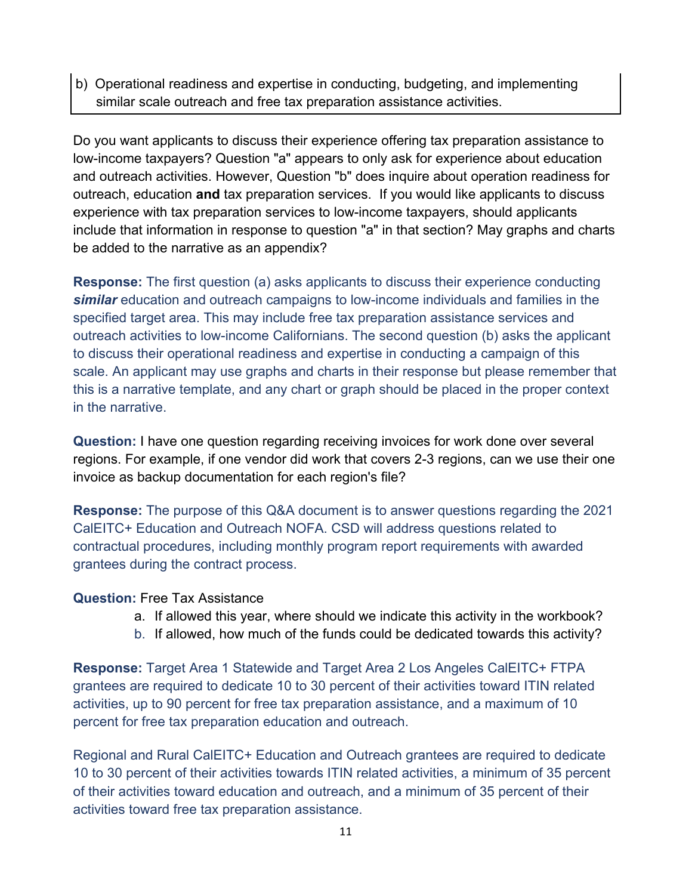b) Operational readiness and expertise in conducting, budgeting, and implementing similar scale outreach and free tax preparation assistance activities.

Do you want applicants to discuss their experience offering tax preparation assistance to low-income taxpayers? Question "a" appears to only ask for experience about education and outreach activities. However, Question "b" does inquire about operation readiness for outreach, education **and** tax preparation services. If you would like applicants to discuss experience with tax preparation services to low-income taxpayers, should applicants include that information in response to question "a" in that section? May graphs and charts be added to the narrative as an appendix?

**Response:** The first question (a) asks applicants to discuss their experience conducting *similar* education and outreach campaigns to low-income individuals and families in the specified target area. This may include free tax preparation assistance services and outreach activities to low-income Californians. The second question (b) asks the applicant to discuss their operational readiness and expertise in conducting a campaign of this scale. An applicant may use graphs and charts in their response but please remember that this is a narrative template, and any chart or graph should be placed in the proper context in the narrative.

**Question:** I have one question regarding receiving invoices for work done over several regions. For example, if one vendor did work that covers 2-3 regions, can we use their one invoice as backup documentation for each region's file?

**Response:** The purpose of this Q&A document is to answer questions regarding the 2021 CalEITC+ Education and Outreach NOFA. CSD will address questions related to contractual procedures, including monthly program report requirements with awarded grantees during the contract process.

#### **Question:** Free Tax Assistance

- a. If allowed this year, where should we indicate this activity in the workbook?
- b. If allowed, how much of the funds could be dedicated towards this activity?

**Response:** Target Area 1 Statewide and Target Area 2 Los Angeles CalEITC+ FTPA grantees are required to dedicate 10 to 30 percent of their activities toward ITIN related activities, up to 90 percent for free tax preparation assistance, and a maximum of 10 percent for free tax preparation education and outreach.

Regional and Rural CalEITC+ Education and Outreach grantees are required to dedicate 10 to 30 percent of their activities towards ITIN related activities, a minimum of 35 percent of their activities toward education and outreach, and a minimum of 35 percent of their activities toward free tax preparation assistance.